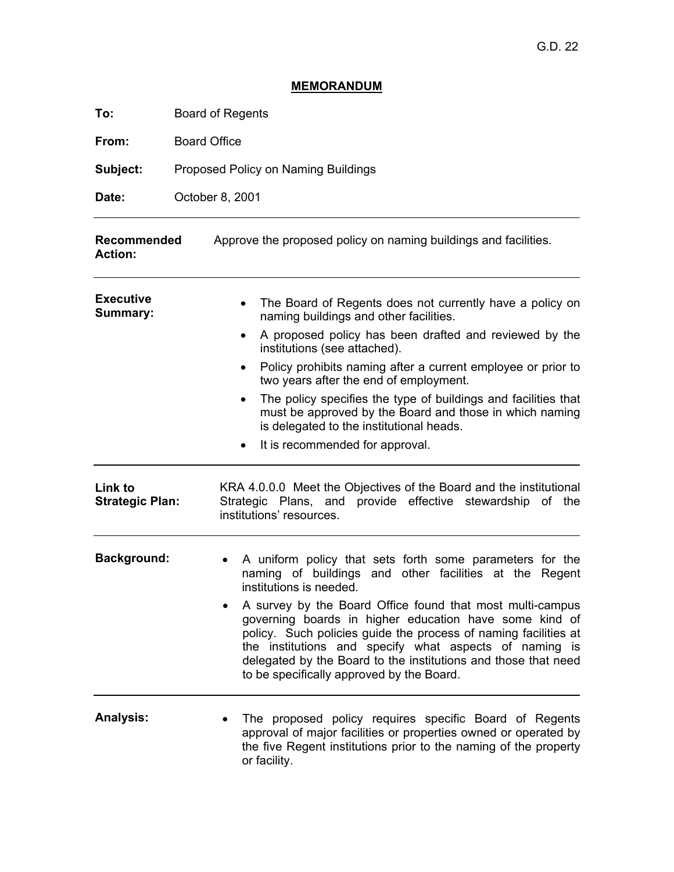## **MEMORANDUM**

**To:** Board of Regents

From: **Board Office** 

Subject: **Subject:** Proposed Policy on Naming Buildings

Date: **Date:** October 8, 2001

| <b>Recommended</b><br><b>Action:</b> | Approve the proposed policy on naming buildings and facilities.                                                                                                                                                                                                                                                                                                 |
|--------------------------------------|-----------------------------------------------------------------------------------------------------------------------------------------------------------------------------------------------------------------------------------------------------------------------------------------------------------------------------------------------------------------|
| <b>Executive</b><br><b>Summary:</b>  | The Board of Regents does not currently have a policy on<br>naming buildings and other facilities.<br>A proposed policy has been drafted and reviewed by the                                                                                                                                                                                                    |
|                                      | institutions (see attached).                                                                                                                                                                                                                                                                                                                                    |
|                                      | Policy prohibits naming after a current employee or prior to<br>two years after the end of employment.                                                                                                                                                                                                                                                          |
|                                      | The policy specifies the type of buildings and facilities that<br>must be approved by the Board and those in which naming<br>is delegated to the institutional heads.                                                                                                                                                                                           |
|                                      | It is recommended for approval.                                                                                                                                                                                                                                                                                                                                 |
| Link to<br><b>Strategic Plan:</b>    | KRA 4.0.0.0 Meet the Objectives of the Board and the institutional<br>Strategic Plans, and provide effective stewardship of the<br>institutions' resources.                                                                                                                                                                                                     |
| <b>Background:</b>                   | A uniform policy that sets forth some parameters for the<br>naming of buildings and other facilities at the Regent<br>institutions is needed.                                                                                                                                                                                                                   |
|                                      | A survey by the Board Office found that most multi-campus<br>governing boards in higher education have some kind of<br>policy. Such policies guide the process of naming facilities at<br>the institutions and specify what aspects of naming is<br>delegated by the Board to the institutions and those that need<br>to be specifically approved by the Board. |
| <b>Analysis:</b>                     | The proposed policy requires specific Board of Regents<br>approval of major facilities or properties owned or operated by<br>the five Regent institutions prior to the naming of the property<br>or facility.                                                                                                                                                   |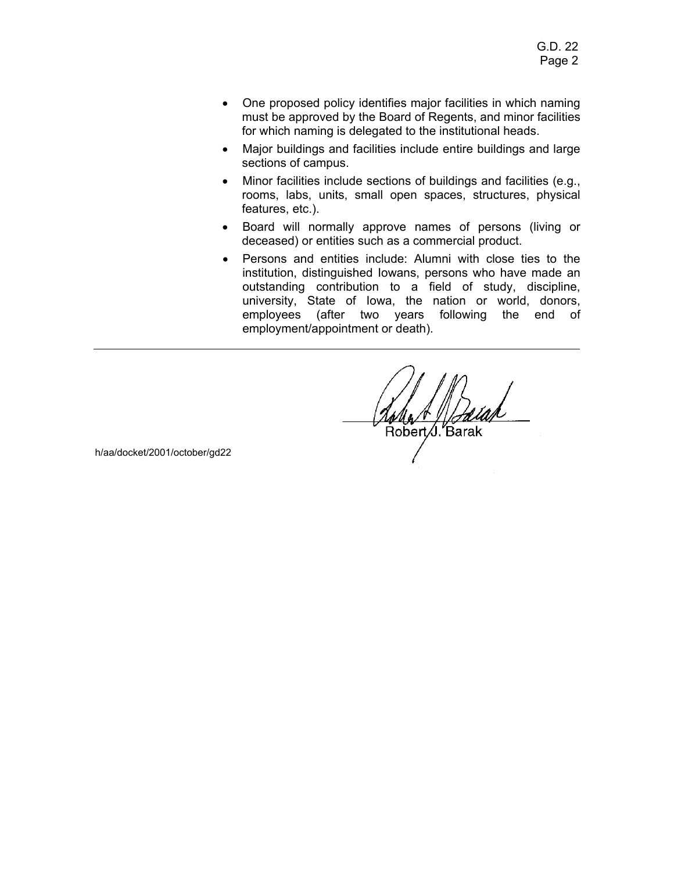- One proposed policy identifies major facilities in which naming must be approved by the Board of Regents, and minor facilities for which naming is delegated to the institutional heads.
- Major buildings and facilities include entire buildings and large sections of campus.
- Minor facilities include sections of buildings and facilities (e.g., rooms, labs, units, small open spaces, structures, physical features, etc.).
- Board will normally approve names of persons (living or deceased) or entities such as a commercial product.
- Persons and entities include: Alumni with close ties to the institution, distinguished Iowans, persons who have made an outstanding contribution to a field of study, discipline, university, State of Iowa, the nation or world, donors, employees (after two years following the end of employment/appointment or death).

Řobert Ú. Barak

h/aa/docket/2001/october/gd22